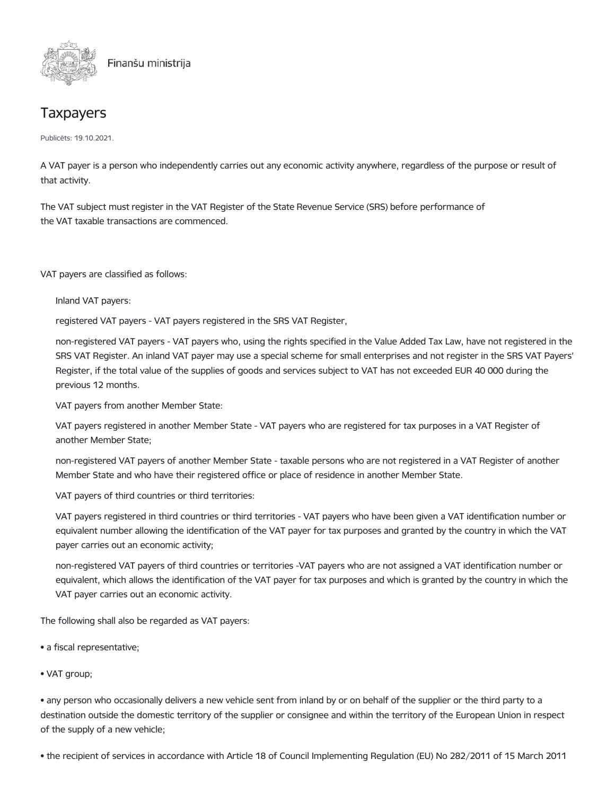

## **Taxpayers**

Publicēts: 19.10.2021.

A VAT payer is a person who independently carries out any economic activity anywhere, regardless of the purpose or result of that activity.

The VAT subject must register in the VAT Register of the State Revenue Service (SRS) before performance of the VAT taxable transactions are commenced.

VAT payers are classified as follows:

Inland VAT payers:

registered VAT payers - VAT payers registered in the SRS VAT Register,

non-registered VAT payers - VAT payers who, using the rights specified in the Value Added Tax Law, have not registered in the SRS VAT Register. An inland VAT payer may use a special scheme for small enterprises and not register in the SRS VAT Payers' Register, if the total value of the supplies of goods and services subject to VAT has not exceeded EUR 40 000 during the previous 12 months.

VAT payers from another Member State:

VAT payers registered in another Member State - VAT payers who are registered for tax purposes in a VAT Register of another Member State;

non-registered VAT payers of another Member State - taxable persons who are not registered in a VAT Register of another Member State and who have their registered office or place of residence in another Member State.

VAT payers of third countries or third territories:

VAT payers registered in third countries or third territories - VAT payers who have been given a VAT identification number or equivalent number allowing the identification of the VAT payer for tax purposes and granted by the country in which the VAT payer carries out an economic activity;

non-registered VAT payers of third countries or territories -VAT payers who are not assigned a VAT identification number or equivalent, which allows the identification of the VAT payer for tax purposes and which is granted by the country in which the VAT payer carries out an economic activity.

The following shall also be regarded as VAT payers:

- a fiscal representative;
- VAT group;

• any person who occasionally delivers a new vehicle sent from inland by or on behalf of the supplier or the third party to a destination outside the domestic territory of the supplier or consignee and within the territory of the European Union in respect of the supply of a new vehicle;

• the recipient of services in accordance with Article 18 of Council Implementing Regulation (EU) No 282/2011 of 15 March 2011